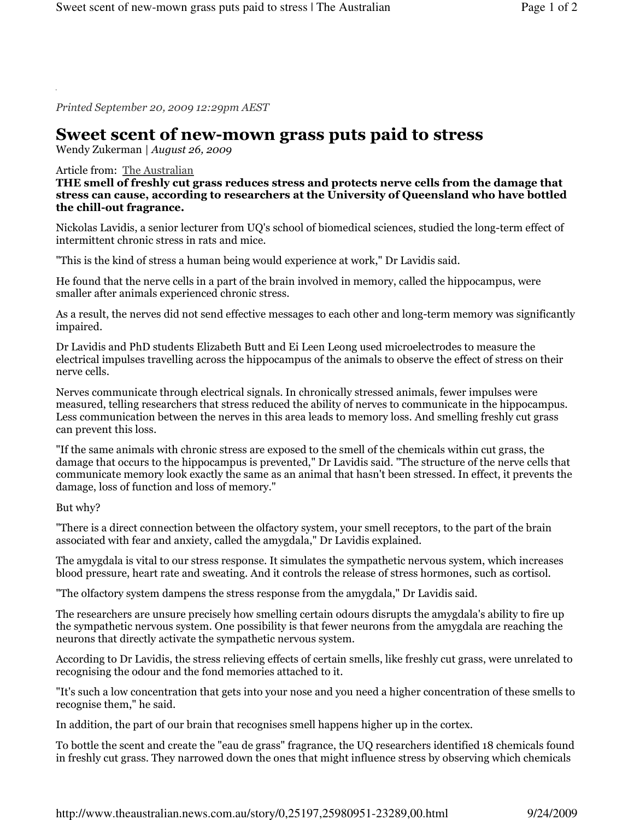Printed September 20, 2009 12:29pm AEST

## Sweet scent of new-mown grass puts paid to stress

Wendy Zukerman | August 26, 2009

## Article from: The Australian

THE smell of freshly cut grass reduces stress and protects nerve cells from the damage that stress can cause, according to researchers at the University of Queensland who have bottled the chill-out fragrance.

Nickolas Lavidis, a senior lecturer from UQ's school of biomedical sciences, studied the long-term effect of intermittent chronic stress in rats and mice.

"This is the kind of stress a human being would experience at work," Dr Lavidis said.

He found that the nerve cells in a part of the brain involved in memory, called the hippocampus, were smaller after animals experienced chronic stress.

As a result, the nerves did not send effective messages to each other and long-term memory was significantly impaired.

Dr Lavidis and PhD students Elizabeth Butt and Ei Leen Leong used microelectrodes to measure the electrical impulses travelling across the hippocampus of the animals to observe the effect of stress on their nerve cells.

Nerves communicate through electrical signals. In chronically stressed animals, fewer impulses were measured, telling researchers that stress reduced the ability of nerves to communicate in the hippocampus. Less communication between the nerves in this area leads to memory loss. And smelling freshly cut grass can prevent this loss.

"If the same animals with chronic stress are exposed to the smell of the chemicals within cut grass, the damage that occurs to the hippocampus is prevented," Dr Lavidis said. "The structure of the nerve cells that communicate memory look exactly the same as an animal that hasn't been stressed. In effect, it prevents the damage, loss of function and loss of memory."

## But why?

"There is a direct connection between the olfactory system, your smell receptors, to the part of the brain associated with fear and anxiety, called the amygdala," Dr Lavidis explained.

The amygdala is vital to our stress response. It simulates the sympathetic nervous system, which increases blood pressure, heart rate and sweating. And it controls the release of stress hormones, such as cortisol.

"The olfactory system dampens the stress response from the amygdala," Dr Lavidis said.

The researchers are unsure precisely how smelling certain odours disrupts the amygdala's ability to fire up the sympathetic nervous system. One possibility is that fewer neurons from the amygdala are reaching the neurons that directly activate the sympathetic nervous system.

According to Dr Lavidis, the stress relieving effects of certain smells, like freshly cut grass, were unrelated to recognising the odour and the fond memories attached to it.

"It's such a low concentration that gets into your nose and you need a higher concentration of these smells to recognise them," he said.

In addition, the part of our brain that recognises smell happens higher up in the cortex.

To bottle the scent and create the "eau de grass" fragrance, the UQ researchers identified 18 chemicals found in freshly cut grass. They narrowed down the ones that might influence stress by observing which chemicals